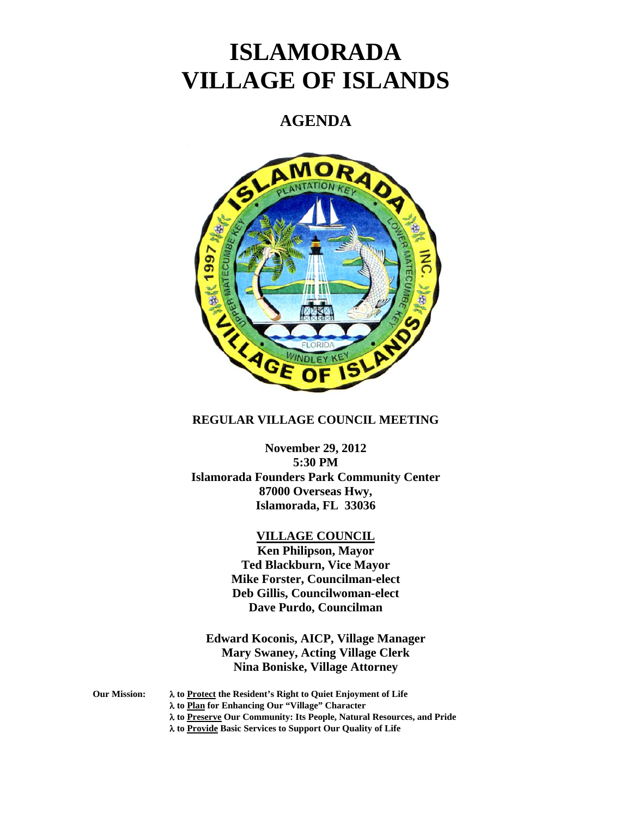# **ISLAMORADA VILLAGE OF ISLANDS**

# **AGENDA**



# **REGULAR VILLAGE COUNCIL MEETING**

**November 29, 2012 5:30 PM Islamorada Founders Park Community Center 87000 Overseas Hwy, Islamorada, FL 33036** 

# **VILLAGE COUNCIL**

**Ken Philipson, Mayor Ted Blackburn, Vice Mayor Mike Forster, Councilman-elect Deb Gillis, Councilwoman-elect Dave Purdo, Councilman** 

**Edward Koconis, AICP, Village Manager Mary Swaney, Acting Village Clerk Nina Boniske, Village Attorney** 

**Our Mission: to Protect the Resident's Right to Quiet Enjoyment of Life** 

- **to Plan for Enhancing Our "Village" Character**
- **to Preserve Our Community: Its People, Natural Resources, and Pride**

 **to Provide Basic Services to Support Our Quality of Life**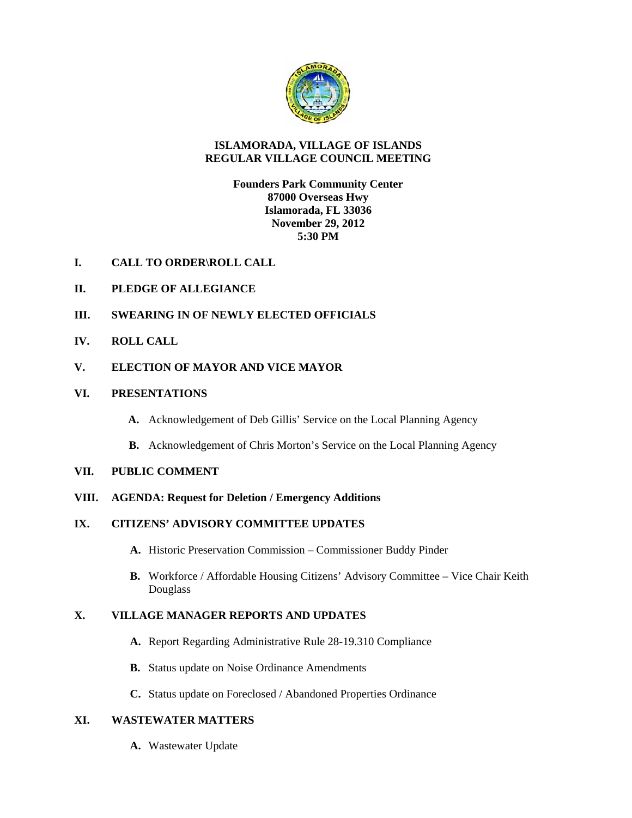

## **ISLAMORADA, VILLAGE OF ISLANDS REGULAR VILLAGE COUNCIL MEETING**

**Founders Park Community Center 87000 Overseas Hwy Islamorada, FL 33036 November 29, 2012 5:30 PM** 

- **I. CALL TO ORDER\ROLL CALL**
- **II. PLEDGE OF ALLEGIANCE**
- **III. SWEARING IN OF NEWLY ELECTED OFFICIALS**
- **IV. ROLL CALL**
- **V. ELECTION OF MAYOR AND VICE MAYOR**
- **VI. PRESENTATIONS** 
	- **A.** Acknowledgement of Deb Gillis' Service on the Local Planning Agency
	- **B.** Acknowledgement of Chris Morton's Service on the Local Planning Agency

### **VII. PUBLIC COMMENT**

- **VIII. AGENDA: Request for Deletion / Emergency Additions**
- **IX. CITIZENS' ADVISORY COMMITTEE UPDATES** 
	- **A.** Historic Preservation Commission Commissioner Buddy Pinder
	- **B.** Workforce / Affordable Housing Citizens' Advisory Committee Vice Chair Keith Douglass

# **X. VILLAGE MANAGER REPORTS AND UPDATES**

- **A.** Report Regarding Administrative Rule 28-19.310 Compliance
- **B.** Status update on Noise Ordinance Amendments
- **C.** Status update on Foreclosed / Abandoned Properties Ordinance

# **XI. WASTEWATER MATTERS**

**A.** Wastewater Update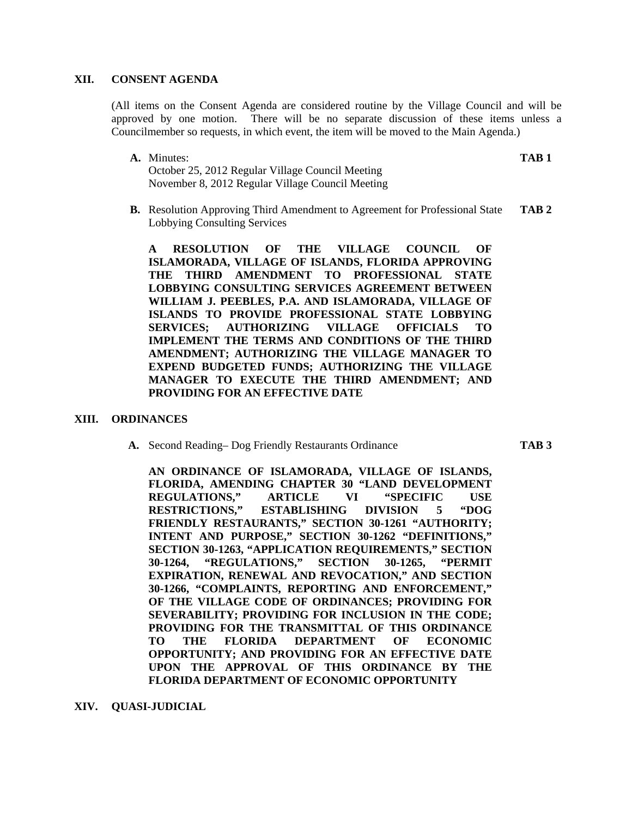#### **XII. CONSENT AGENDA**

(All items on the Consent Agenda are considered routine by the Village Council and will be approved by one motion. There will be no separate discussion of these items unless a Councilmember so requests, in which event, the item will be moved to the Main Agenda.)

**A.** Minutes: **TAB 1**

October 25, 2012 Regular Village Council Meeting November 8, 2012 Regular Village Council Meeting

**B.** Resolution Approving Third Amendment to Agreement for Professional State **TAB 2** Lobbying Consulting Services

**A RESOLUTION OF THE VILLAGE COUNCIL OF ISLAMORADA, VILLAGE OF ISLANDS, FLORIDA APPROVING THE THIRD AMENDMENT TO PROFESSIONAL STATE LOBBYING CONSULTING SERVICES AGREEMENT BETWEEN WILLIAM J. PEEBLES, P.A. AND ISLAMORADA, VILLAGE OF ISLANDS TO PROVIDE PROFESSIONAL STATE LOBBYING SERVICES; AUTHORIZING VILLAGE OFFICIALS TO IMPLEMENT THE TERMS AND CONDITIONS OF THE THIRD AMENDMENT; AUTHORIZING THE VILLAGE MANAGER TO EXPEND BUDGETED FUNDS; AUTHORIZING THE VILLAGE MANAGER TO EXECUTE THE THIRD AMENDMENT; AND PROVIDING FOR AN EFFECTIVE DATE** 

#### **XIII. ORDINANCES**

**A.** Second Reading– Dog Friendly Restaurants Ordinance **TAB 3** 

**AN ORDINANCE OF ISLAMORADA, VILLAGE OF ISLANDS, FLORIDA, AMENDING CHAPTER 30 "LAND DEVELOPMENT REGULATIONS," ARTICLE VI "SPECIFIC USE RESTRICTIONS," ESTABLISHING DIVISION 5 "DOG FRIENDLY RESTAURANTS," SECTION 30-1261 "AUTHORITY; INTENT AND PURPOSE," SECTION 30-1262 "DEFINITIONS," SECTION 30-1263, "APPLICATION REQUIREMENTS," SECTION 30-1264, "REGULATIONS," SECTION 30-1265, "PERMIT EXPIRATION, RENEWAL AND REVOCATION," AND SECTION 30-1266, "COMPLAINTS, REPORTING AND ENFORCEMENT," OF THE VILLAGE CODE OF ORDINANCES; PROVIDING FOR SEVERABILITY; PROVIDING FOR INCLUSION IN THE CODE; PROVIDING FOR THE TRANSMITTAL OF THIS ORDINANCE TO THE FLORIDA DEPARTMENT OF ECONOMIC OPPORTUNITY; AND PROVIDING FOR AN EFFECTIVE DATE UPON THE APPROVAL OF THIS ORDINANCE BY THE FLORIDA DEPARTMENT OF ECONOMIC OPPORTUNITY** 

**XIV. QUASI-JUDICIAL**